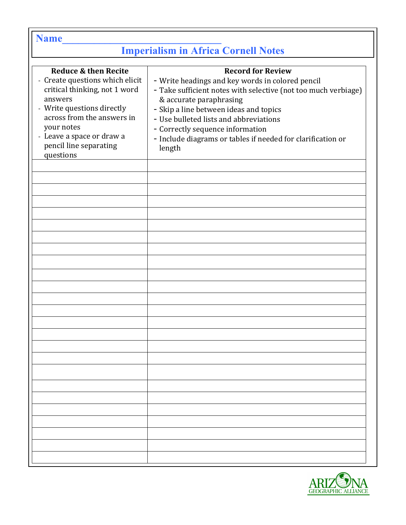| <b>Name</b>                                                                                                                                                                                                                                       |                                                                                                                                                                                                                                                                                                                                                                            |
|---------------------------------------------------------------------------------------------------------------------------------------------------------------------------------------------------------------------------------------------------|----------------------------------------------------------------------------------------------------------------------------------------------------------------------------------------------------------------------------------------------------------------------------------------------------------------------------------------------------------------------------|
| <b>Imperialism in Africa Cornell Notes</b>                                                                                                                                                                                                        |                                                                                                                                                                                                                                                                                                                                                                            |
| Reduce & then Recite<br>- Create questions which elicit<br>critical thinking, not 1 word<br>answers<br>- Write questions directly<br>across from the answers in<br>your notes<br>- Leave a space or draw a<br>pencil line separating<br>questions | <b>Record for Review</b><br>- Write headings and key words in colored pencil<br>- Take sufficient notes with selective (not too much verbiage)<br>& accurate paraphrasing<br>- Skip a line between ideas and topics<br>- Use bulleted lists and abbreviations<br>- Correctly sequence information<br>- Include diagrams or tables if needed for clarification or<br>length |
|                                                                                                                                                                                                                                                   |                                                                                                                                                                                                                                                                                                                                                                            |
|                                                                                                                                                                                                                                                   |                                                                                                                                                                                                                                                                                                                                                                            |
|                                                                                                                                                                                                                                                   |                                                                                                                                                                                                                                                                                                                                                                            |

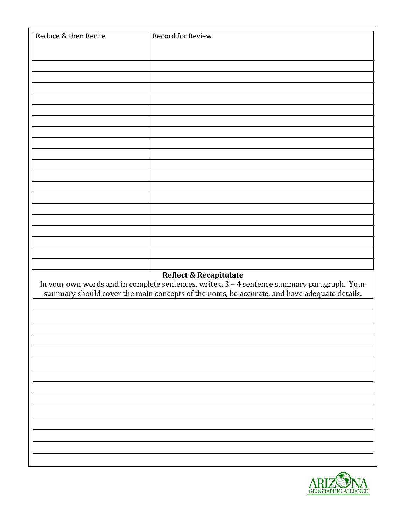| Reduce & then Recite | Record for Review                                                                                                                                                                           |
|----------------------|---------------------------------------------------------------------------------------------------------------------------------------------------------------------------------------------|
|                      |                                                                                                                                                                                             |
|                      |                                                                                                                                                                                             |
|                      |                                                                                                                                                                                             |
|                      |                                                                                                                                                                                             |
|                      |                                                                                                                                                                                             |
|                      |                                                                                                                                                                                             |
|                      |                                                                                                                                                                                             |
|                      |                                                                                                                                                                                             |
|                      |                                                                                                                                                                                             |
|                      |                                                                                                                                                                                             |
|                      |                                                                                                                                                                                             |
|                      |                                                                                                                                                                                             |
|                      |                                                                                                                                                                                             |
|                      |                                                                                                                                                                                             |
|                      |                                                                                                                                                                                             |
|                      |                                                                                                                                                                                             |
|                      |                                                                                                                                                                                             |
|                      |                                                                                                                                                                                             |
|                      |                                                                                                                                                                                             |
|                      |                                                                                                                                                                                             |
|                      |                                                                                                                                                                                             |
|                      |                                                                                                                                                                                             |
|                      | Reflect & Recapitulate                                                                                                                                                                      |
|                      | In your own words and in complete sentences, write a 3 - 4 sentence summary paragraph. Your<br>summary should cover the main concepts of the notes, be accurate, and have adequate details. |
|                      |                                                                                                                                                                                             |
|                      |                                                                                                                                                                                             |
|                      |                                                                                                                                                                                             |
|                      |                                                                                                                                                                                             |
|                      |                                                                                                                                                                                             |
|                      |                                                                                                                                                                                             |
|                      |                                                                                                                                                                                             |
|                      |                                                                                                                                                                                             |
|                      |                                                                                                                                                                                             |
|                      |                                                                                                                                                                                             |
|                      |                                                                                                                                                                                             |
|                      |                                                                                                                                                                                             |
|                      |                                                                                                                                                                                             |
|                      |                                                                                                                                                                                             |
|                      |                                                                                                                                                                                             |
|                      |                                                                                                                                                                                             |
|                      |                                                                                                                                                                                             |